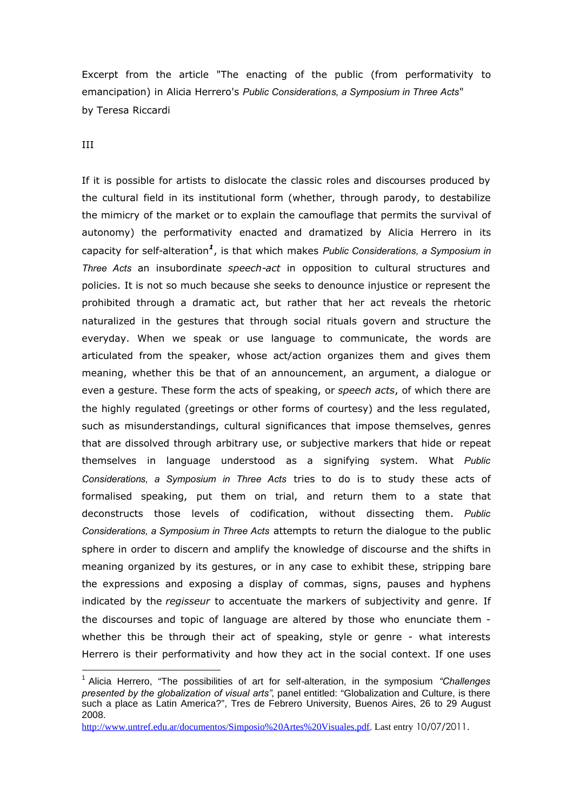Excerpt from the article "The enacting of the public (from performativity to emancipation) in Alicia Herrero's *Public Considerations, a Symposium in Three Acts*" by Teresa Riccardi

## III

If it is possible for artists to dislocate the classic roles and discourses produced by the cultural field in its institutional form (whether, through parody, to destabilize the mimicry of the market or to explain the camouflage that permits the survival of autonomy) the performativity enacted and dramatized by Alicia Herrero in its capacity for self-alteration*<sup>1</sup>* , is that which makes *Public Considerations, a Symposium in Three Acts* an insubordinate *speech-act* in opposition to cultural structures and policies. It is not so much because she seeks to denounce injustice or represent the prohibited through a dramatic act, but rather that her act reveals the rhetoric naturalized in the gestures that through social rituals govern and structure the everyday. When we speak or use language to communicate, the words are articulated from the speaker, whose act/action organizes them and gives them meaning, whether this be that of an announcement, an argument, a dialogue or even a gesture. These form the acts of speaking, or *speech acts*, of which there are the highly regulated (greetings or other forms of courtesy) and the less regulated, such as misunderstandings, cultural significances that impose themselves, genres that are dissolved through arbitrary use, or subjective markers that hide or repeat themselves in language understood as a signifying system. What *Public Considerations, a Symposium in Three Acts* tries to do is to study these acts of formalised speaking, put them on trial, and return them to a state that deconstructs those levels of codification, without dissecting them. *Public Considerations, a Symposium in Three Acts* attempts to return the dialogue to the public sphere in order to discern and amplify the knowledge of discourse and the shifts in meaning organized by its gestures, or in any case to exhibit these, stripping bare the expressions and exposing a display of commas, signs, pauses and hyphens indicated by the *regisseur* to accentuate the markers of subjectivity and genre. If the discourses and topic of language are altered by those who enunciate them whether this be through their act of speaking, style or genre - what interests Herrero is their performativity and how they act in the social context. If one uses

<sup>1</sup> Alicia Herrero, "The possibilities of art for self-alteration, in the symposium *"Challenges presented by the globalization of visual arts"*, panel entitled: "Globalization and Culture, is there such a place as Latin America?", Tres de Febrero University, Buenos Aires, 26 to 29 August 2008.

http://www.untref.edu.ar/documentos/Simposio%20Artes%20Visuales.pdf. Last entry 10/07/2011.